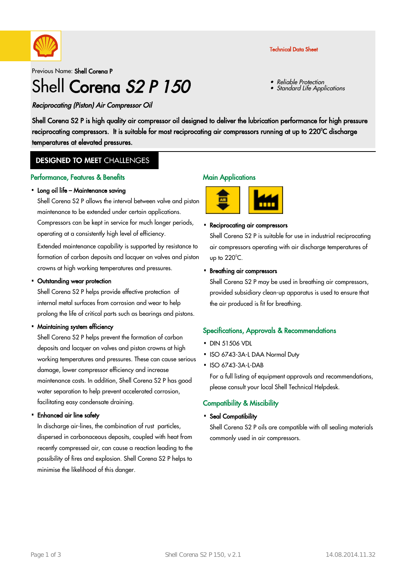

### Technical Data Sheet

Reliable Protection

Standard Life Applications

•

•

Previous Name: Shell Corena P

# Shell Corena S<sub>2</sub> P 150

Reciprocating (Piston) Air Compressor Oil

Shell Corena S2 P is high quality air compressor oil designed to deliver the lubrication performance for high pressure reciprocating compressors. It is suitable for most reciprocating air compressors running at up to 220°C discharge temperatures at elevated pressures.

### **DESIGNED TO MEET CHALLENGES**

#### Performance, Features & Benefits

#### • Long oil life – Maintenance saving

Shell Corena S2 P allows the interval between valve and piston maintenance to be extended under certain applications. Compressors can be kept in service for much longer periods, operating at a consistently high level of efficiency.

Extended maintenance capability is supported by resistance to formation of carbon deposits and lacquer on valves and piston crowns at high working temperatures and pressures.

# • Outstanding wear protection

Shell Corena S2 P helps provide effective protection of internal metal surfaces from corrosion and wear to help prolong the life of critical parts such as bearings and pistons.

#### • Maintaining system efficiency

Shell Corena S2 P helps prevent the formation of carbon deposits and lacquer on valves and piston crowns at high working temperatures and pressures. These can cause serious damage, lower compressor efficiency and increase maintenance costs. In addition, Shell Corena S2 P has good water separation to help prevent accelerated corrosion, facilitating easy condensate draining.

# Enhanced air line safety ·

In discharge air-lines, the combination of rust particles, dispersed in carbonaceous deposits, coupled with heat from recently compressed air, can cause a reaction leading to the possibility of fires and explosion. Shell Corena S2 P helps to minimise the likelihood of this danger.

#### **Main Applications**



# • Reciprocating air compressors

Shell Corena S2 P is suitable for use in industrial reciprocating air compressors operating with air discharge temperatures of up to  $220^{\circ}$ C.

# • Breathing air compressors

Shell Corena S2 P may be used in breathing air compressors, provided subsidiary clean-up apparatus is used to ensure that the air produced is fit for breathing.

#### Specifications, Approvals & Recommendations

- DIN 51506 VDL
- ISO 6743-3A-L DAA Normal Duty
- ISO 6743-3A-L-DAB

For a full listing of equipment approvals and recommendations, please consult your local Shell Technical Helpdesk.

### Compatibility & Miscibility

• Seal Compatibility

Shell Corena S2 P oils are compatible with all sealing materials commonly used in air compressors.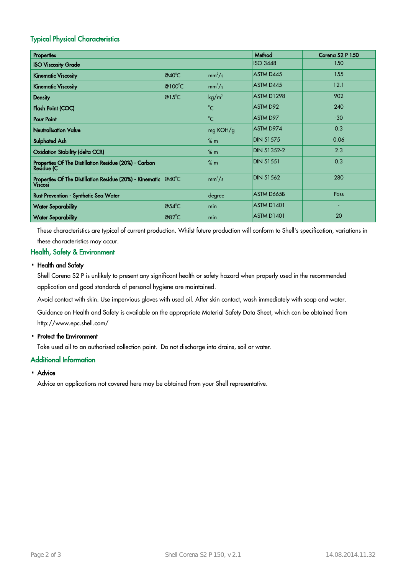### Typical Physical Characteristics

| Properties                                                                          |                  |                   | Method            | Corena S <sub>2</sub> P 150 |
|-------------------------------------------------------------------------------------|------------------|-------------------|-------------------|-----------------------------|
| <b>ISO Viscosity Grade</b>                                                          |                  |                   | <b>ISO 3448</b>   | 150                         |
| <b>Kinematic Viscosity</b>                                                          | $@40^{\circ}$ C  | $mm^2/s$          | ASTM D445         | 155                         |
| <b>Kinematic Viscosity</b>                                                          | @100 $\degree$ C | $mm^2/s$          | ASTM D445         | 12.1                        |
| <b>Density</b>                                                                      | $@15^{\circ}$ C  | kg/m <sup>3</sup> | ASTM D1298        | 902                         |
| Flash Point (COC)                                                                   |                  | $^{\circ}C$       | ASTM D92          | 240                         |
| <b>Pour Point</b>                                                                   |                  | $^{\circ}C$       | ASTM D97          | $-30$                       |
| <b>Neutralisation Value</b>                                                         |                  | mg KOH/g          | ASTM D974         | 0.3                         |
| <b>Sulphated Ash</b>                                                                |                  | % m               | <b>DIN 51575</b>  | 0.06                        |
| <b>Oxidation Stability (delta CCR)</b>                                              |                  | % m               | DIN 51352-2       | 2.3                         |
| Properties Of The Distillation Residue (20%) - Carbon<br><b>Residue</b> (C          |                  | % m               | <b>DIN 51551</b>  | 0.3                         |
| Properties Of The Distillation Residue (20%) - Kinematic $@40^{\circ}$ C<br>Viscosi |                  | $mm^2/s$          | <b>DIN 51562</b>  | 280                         |
| Rust Prevention - Synthetic Sea Water                                               |                  | degree            | ASTM D665B        | Pass                        |
| <b>Water Separability</b>                                                           | @54 $^{\circ}$ C | min               | <b>ASTM D1401</b> |                             |
| <b>Water Separability</b>                                                           | $@82^{\circ}C$   | min               | <b>ASTM D1401</b> | 20                          |

These characteristics are typical of current production. Whilst future production will conform to Shell's specification, variations in these characteristics may occur.

### Health, Safety & Environment

### • Health and Safety

Shell Corena S2 P is unlikely to present any significant health or safety hazard when properly used in the recommended application and good standards of personal hygiene are maintained.

Avoid contact with skin. Use impervious gloves with used oil. After skin contact, wash immediately with soap and water.

Guidance on Health and Safety is available on the appropriate Material Safety Data Sheet, which can be obtained from http://www.epc.shell.com/

# • Protect the Environment

Take used oil to an authorised collection point. Do not discharge into drains, soil or water.

#### Additional Information

# • Advice

Advice on applications not covered here may be obtained from your Shell representative.